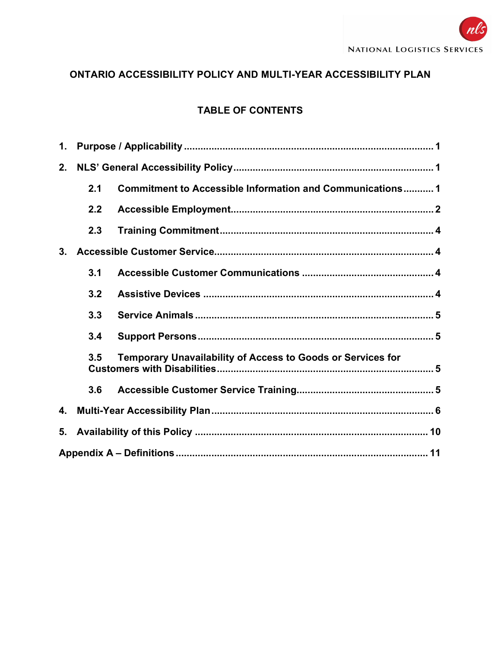# ONTARIO ACCESSIBILITY POLICY AND MULTI-YEAR ACCESSIBILITY PLAN

# TABLE OF CONTENTS

| $\mathbf 1$ . |     |                                                             |  |
|---------------|-----|-------------------------------------------------------------|--|
| 2.            |     |                                                             |  |
|               | 2.1 | Commitment to Accessible Information and Communications 1   |  |
|               | 2.2 |                                                             |  |
|               | 2.3 |                                                             |  |
| 3.            |     |                                                             |  |
|               | 3.1 |                                                             |  |
|               | 3.2 |                                                             |  |
|               | 3.3 |                                                             |  |
|               | 3.4 |                                                             |  |
|               | 3.5 | Temporary Unavailability of Access to Goods or Services for |  |
|               | 3.6 |                                                             |  |
| 4.            |     |                                                             |  |
| 5.            |     |                                                             |  |
|               |     |                                                             |  |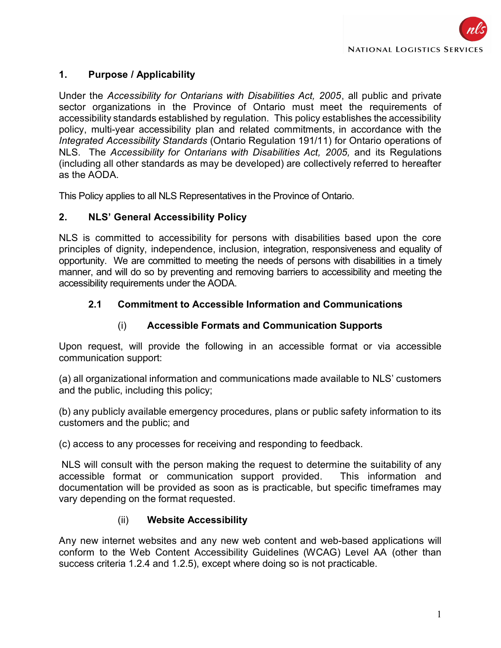

### 1. Purpose / Applicability

Under the Accessibility for Ontarians with Disabilities Act, 2005, all public and private sector organizations in the Province of Ontario must meet the requirements of accessibility standards established by regulation. This policy establishes the accessibility policy, multi-year accessibility plan and related commitments, in accordance with the Integrated Accessibility Standards (Ontario Regulation 191/11) for Ontario operations of NLS. The Accessibility for Ontarians with Disabilities Act, 2005, and its Regulations (including all other standards as may be developed) are collectively referred to hereafter as the AODA.

This Policy applies to all NLS Representatives in the Province of Ontario.

#### 2. NLS' General Accessibility Policy

NLS is committed to accessibility for persons with disabilities based upon the core principles of dignity, independence, inclusion, integration, responsiveness and equality of opportunity. We are committed to meeting the needs of persons with disabilities in a timely manner, and will do so by preventing and removing barriers to accessibility and meeting the accessibility requirements under the AODA.

#### 2.1 Commitment to Accessible Information and Communications

#### (i) Accessible Formats and Communication Supports

Upon request, will provide the following in an accessible format or via accessible communication support:

(a) all organizational information and communications made available to NLS' customers and the public, including this policy;

(b) any publicly available emergency procedures, plans or public safety information to its customers and the public; and

(c) access to any processes for receiving and responding to feedback.

 NLS will consult with the person making the request to determine the suitability of any accessible format or communication support provided. This information and documentation will be provided as soon as is practicable, but specific timeframes may vary depending on the format requested.

#### (ii) Website Accessibility

Any new internet websites and any new web content and web-based applications will conform to the Web Content Accessibility Guidelines (WCAG) Level AA (other than success criteria 1.2.4 and 1.2.5), except where doing so is not practicable.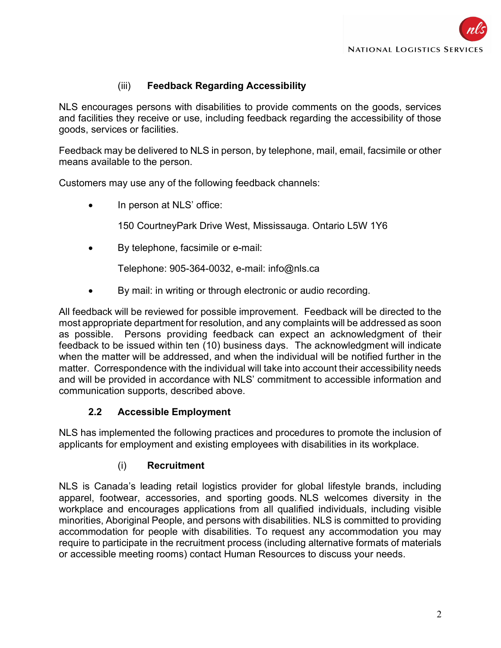

### (iii) Feedback Regarding Accessibility

NLS encourages persons with disabilities to provide comments on the goods, services and facilities they receive or use, including feedback regarding the accessibility of those goods, services or facilities.

Feedback may be delivered to NLS in person, by telephone, mail, email, facsimile or other means available to the person.

Customers may use any of the following feedback channels:

In person at NLS' office:

150 CourtneyPark Drive West, Mississauga. Ontario L5W 1Y6

By telephone, facsimile or e-mail:

Telephone: 905-364-0032, e-mail: info@nls.ca

By mail: in writing or through electronic or audio recording.

All feedback will be reviewed for possible improvement. Feedback will be directed to the most appropriate department for resolution, and any complaints will be addressed as soon as possible. Persons providing feedback can expect an acknowledgment of their feedback to be issued within ten (10) business days. The acknowledgment will indicate when the matter will be addressed, and when the individual will be notified further in the matter. Correspondence with the individual will take into account their accessibility needs and will be provided in accordance with NLS' commitment to accessible information and communication supports, described above.

#### 2.2 Accessible Employment

NLS has implemented the following practices and procedures to promote the inclusion of applicants for employment and existing employees with disabilities in its workplace.

#### (i) Recruitment

NLS is Canada's leading retail logistics provider for global lifestyle brands, including apparel, footwear, accessories, and sporting goods. NLS welcomes diversity in the workplace and encourages applications from all qualified individuals, including visible minorities, Aboriginal People, and persons with disabilities. NLS is committed to providing accommodation for people with disabilities. To request any accommodation you may require to participate in the recruitment process (including alternative formats of materials or accessible meeting rooms) contact Human Resources to discuss your needs.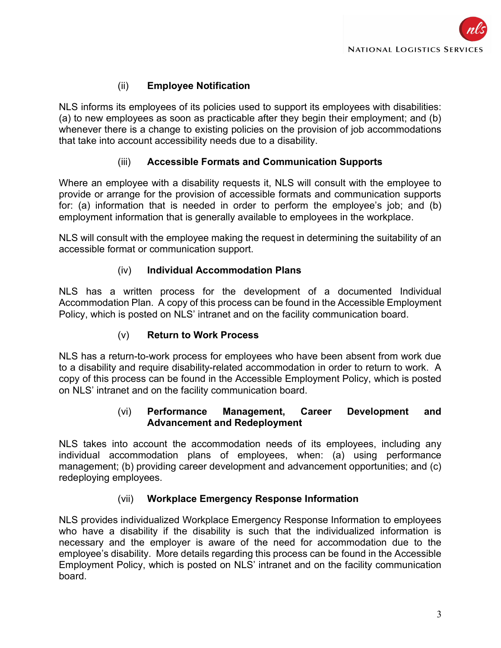# (ii) Employee Notification

NLS informs its employees of its policies used to support its employees with disabilities: (a) to new employees as soon as practicable after they begin their employment; and (b) whenever there is a change to existing policies on the provision of job accommodations that take into account accessibility needs due to a disability.

### (iii) Accessible Formats and Communication Supports

Where an employee with a disability requests it, NLS will consult with the employee to provide or arrange for the provision of accessible formats and communication supports for: (a) information that is needed in order to perform the employee's job; and (b) employment information that is generally available to employees in the workplace.

NLS will consult with the employee making the request in determining the suitability of an accessible format or communication support.

#### (iv) Individual Accommodation Plans

NLS has a written process for the development of a documented Individual Accommodation Plan. A copy of this process can be found in the Accessible Employment Policy, which is posted on NLS' intranet and on the facility communication board.

#### (v) Return to Work Process

NLS has a return-to-work process for employees who have been absent from work due to a disability and require disability-related accommodation in order to return to work. A copy of this process can be found in the Accessible Employment Policy, which is posted on NLS' intranet and on the facility communication board.

#### (vi) Performance Management, Career Development and Advancement and Redeployment

NLS takes into account the accommodation needs of its employees, including any individual accommodation plans of employees, when: (a) using performance management; (b) providing career development and advancement opportunities; and (c) redeploying employees.

#### (vii) Workplace Emergency Response Information

NLS provides individualized Workplace Emergency Response Information to employees who have a disability if the disability is such that the individualized information is necessary and the employer is aware of the need for accommodation due to the employee's disability. More details regarding this process can be found in the Accessible Employment Policy, which is posted on NLS' intranet and on the facility communication board.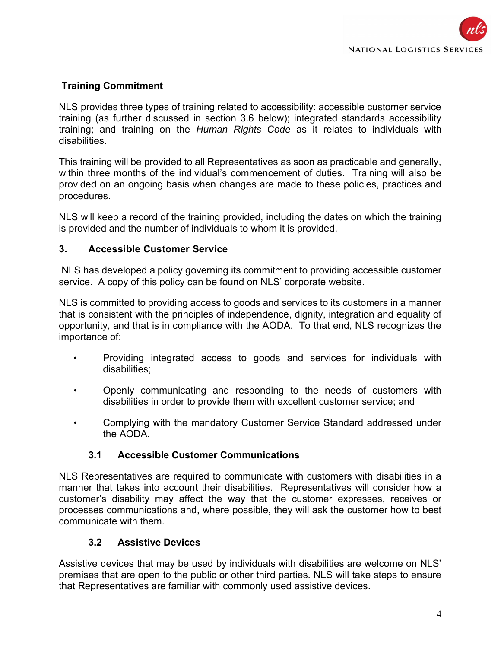## Training Commitment

NLS provides three types of training related to accessibility: accessible customer service training (as further discussed in section 3.6 below); integrated standards accessibility training; and training on the Human Rights Code as it relates to individuals with disabilities.

This training will be provided to all Representatives as soon as practicable and generally, within three months of the individual's commencement of duties. Training will also be provided on an ongoing basis when changes are made to these policies, practices and procedures.

NLS will keep a record of the training provided, including the dates on which the training is provided and the number of individuals to whom it is provided.

### 3. Accessible Customer Service

 NLS has developed a policy governing its commitment to providing accessible customer service. A copy of this policy can be found on NLS' corporate website.

NLS is committed to providing access to goods and services to its customers in a manner that is consistent with the principles of independence, dignity, integration and equality of opportunity, and that is in compliance with the AODA. To that end, NLS recognizes the importance of:

- Providing integrated access to goods and services for individuals with disabilities;
- Openly communicating and responding to the needs of customers with disabilities in order to provide them with excellent customer service; and
- Complying with the mandatory Customer Service Standard addressed under the AODA.

#### 3.1 Accessible Customer Communications

NLS Representatives are required to communicate with customers with disabilities in a manner that takes into account their disabilities. Representatives will consider how a customer's disability may affect the way that the customer expresses, receives or processes communications and, where possible, they will ask the customer how to best communicate with them.

#### 3.2 Assistive Devices

Assistive devices that may be used by individuals with disabilities are welcome on NLS' premises that are open to the public or other third parties. NLS will take steps to ensure that Representatives are familiar with commonly used assistive devices.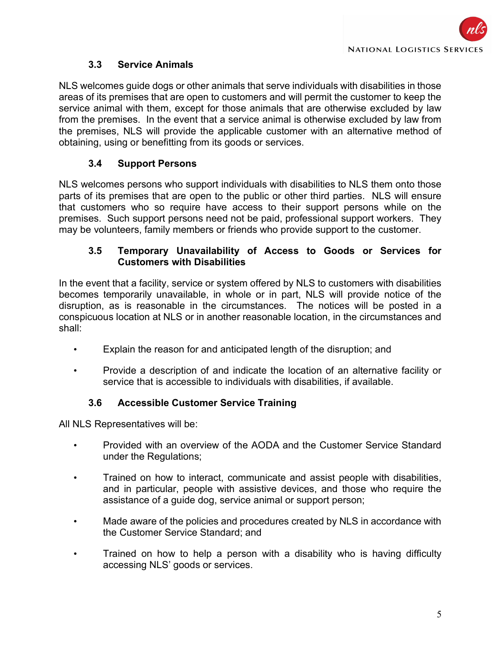### 3.3 Service Animals

NLS welcomes guide dogs or other animals that serve individuals with disabilities in those areas of its premises that are open to customers and will permit the customer to keep the service animal with them, except for those animals that are otherwise excluded by law from the premises. In the event that a service animal is otherwise excluded by law from the premises, NLS will provide the applicable customer with an alternative method of obtaining, using or benefitting from its goods or services.

## 3.4 Support Persons

NLS welcomes persons who support individuals with disabilities to NLS them onto those parts of its premises that are open to the public or other third parties. NLS will ensure that customers who so require have access to their support persons while on the premises. Such support persons need not be paid, professional support workers. They may be volunteers, family members or friends who provide support to the customer.

### 3.5 Temporary Unavailability of Access to Goods or Services for Customers with Disabilities

In the event that a facility, service or system offered by NLS to customers with disabilities becomes temporarily unavailable, in whole or in part, NLS will provide notice of the disruption, as is reasonable in the circumstances. The notices will be posted in a conspicuous location at NLS or in another reasonable location, in the circumstances and shall:

- Explain the reason for and anticipated length of the disruption; and
- Provide a description of and indicate the location of an alternative facility or service that is accessible to individuals with disabilities, if available.

## 3.6 Accessible Customer Service Training

All NLS Representatives will be:

- Provided with an overview of the AODA and the Customer Service Standard under the Regulations;
- Trained on how to interact, communicate and assist people with disabilities, and in particular, people with assistive devices, and those who require the assistance of a guide dog, service animal or support person;
- Made aware of the policies and procedures created by NLS in accordance with the Customer Service Standard; and
- Trained on how to help a person with a disability who is having difficulty accessing NLS' goods or services.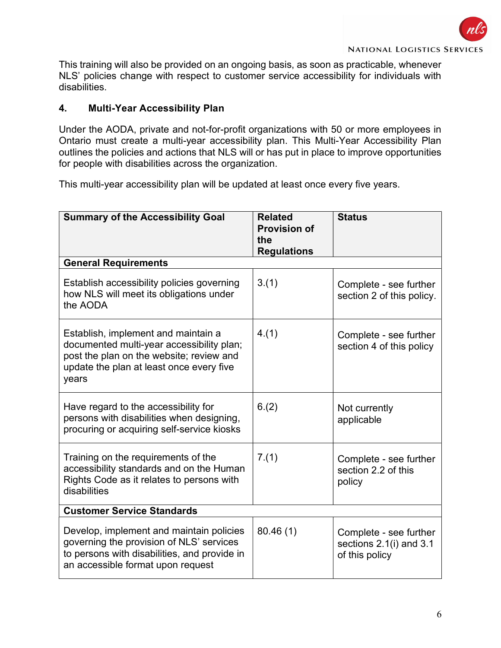This training will also be provided on an ongoing basis, as soon as practicable, whenever NLS' policies change with respect to customer service accessibility for individuals with disabilities.

### 4. Multi-Year Accessibility Plan

Under the AODA, private and not-for-profit organizations with 50 or more employees in Ontario must create a multi-year accessibility plan. This Multi-Year Accessibility Plan outlines the policies and actions that NLS will or has put in place to improve opportunities for people with disabilities across the organization.

This multi-year accessibility plan will be updated at least once every five years.

| <b>Summary of the Accessibility Goal</b>                                                                                                                                          | <b>Related</b><br><b>Provision of</b><br>the<br><b>Regulations</b> | <b>Status</b>                                                       |  |
|-----------------------------------------------------------------------------------------------------------------------------------------------------------------------------------|--------------------------------------------------------------------|---------------------------------------------------------------------|--|
| <b>General Requirements</b>                                                                                                                                                       |                                                                    |                                                                     |  |
| Establish accessibility policies governing<br>how NLS will meet its obligations under<br>the AODA                                                                                 | 3.(1)                                                              | Complete - see further<br>section 2 of this policy.                 |  |
| Establish, implement and maintain a<br>documented multi-year accessibility plan;<br>post the plan on the website; review and<br>update the plan at least once every five<br>years | 4.(1)                                                              | Complete - see further<br>section 4 of this policy                  |  |
| Have regard to the accessibility for<br>persons with disabilities when designing,<br>procuring or acquiring self-service kiosks                                                   | 6.(2)                                                              | Not currently<br>applicable                                         |  |
| Training on the requirements of the<br>accessibility standards and on the Human<br>Rights Code as it relates to persons with<br>disabilities                                      | 7.(1)                                                              | Complete - see further<br>section 2.2 of this<br>policy             |  |
| <b>Customer Service Standards</b>                                                                                                                                                 |                                                                    |                                                                     |  |
| Develop, implement and maintain policies<br>governing the provision of NLS' services<br>to persons with disabilities, and provide in<br>an accessible format upon request         | 80.46(1)                                                           | Complete - see further<br>sections 2.1(i) and 3.1<br>of this policy |  |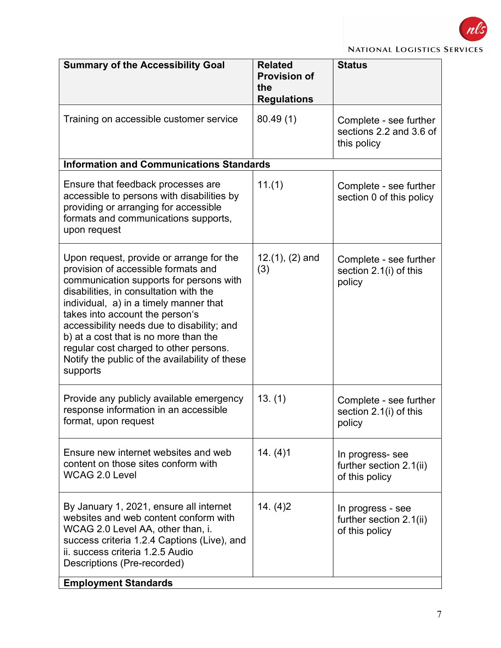

|  | <b>Related</b><br><b>Provision of</b><br>the<br><b>Regulations</b> | <b>Status</b>                                                    |  |
|--|--------------------------------------------------------------------|------------------------------------------------------------------|--|
|  | 80.49(1)                                                           | Complete - see further<br>sections 2.2 and 3.6 of<br>this policy |  |

|                                                                                                                                                                                                                                                                                                                                                                                                                                                  |                          | uns poncy                                                      |  |
|--------------------------------------------------------------------------------------------------------------------------------------------------------------------------------------------------------------------------------------------------------------------------------------------------------------------------------------------------------------------------------------------------------------------------------------------------|--------------------------|----------------------------------------------------------------|--|
| <b>Information and Communications Standards</b>                                                                                                                                                                                                                                                                                                                                                                                                  |                          |                                                                |  |
| Ensure that feedback processes are<br>accessible to persons with disabilities by<br>providing or arranging for accessible<br>formats and communications supports,<br>upon request                                                                                                                                                                                                                                                                | 11.(1)                   | Complete - see further<br>section 0 of this policy             |  |
| Upon request, provide or arrange for the<br>provision of accessible formats and<br>communication supports for persons with<br>disabilities, in consultation with the<br>individual, a) in a timely manner that<br>takes into account the person's<br>accessibility needs due to disability; and<br>b) at a cost that is no more than the<br>regular cost charged to other persons.<br>Notify the public of the availability of these<br>supports | $12.(1), (2)$ and<br>(3) | Complete - see further<br>section 2.1(i) of this<br>policy     |  |
| Provide any publicly available emergency<br>response information in an accessible<br>format, upon request                                                                                                                                                                                                                                                                                                                                        | 13. (1)                  | Complete - see further<br>section 2.1(i) of this<br>policy     |  |
| Ensure new internet websites and web<br>content on those sites conform with<br><b>WCAG 2.0 Level</b>                                                                                                                                                                                                                                                                                                                                             | 14. (4)1                 | In progress- see<br>further section 2.1(ii)<br>of this policy  |  |
| By January 1, 2021, ensure all internet<br>websites and web content conform with<br>WCAG 2.0 Level AA, other than, i.<br>success criteria 1.2.4 Captions (Live), and<br>ii. success criteria 1.2.5 Audio<br>Descriptions (Pre-recorded)                                                                                                                                                                                                          | 14. (4) 2                | In progress - see<br>further section 2.1(ii)<br>of this policy |  |
| <b>Employment Standards</b>                                                                                                                                                                                                                                                                                                                                                                                                                      |                          |                                                                |  |

**Summary of the Accessibility Goal** 

Training on accessible customer service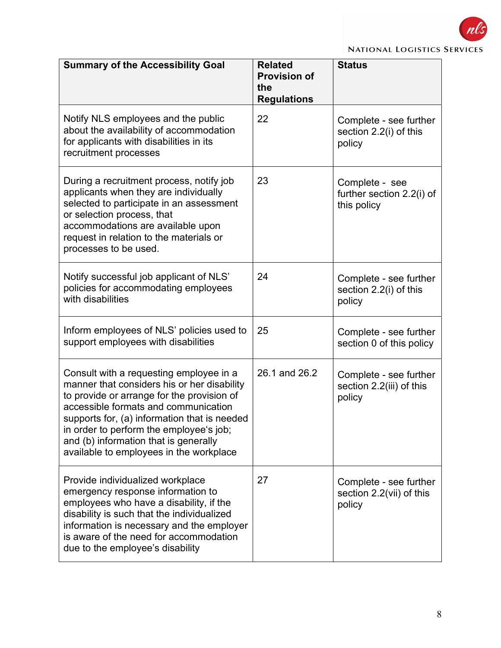

|  | <b>NATIONAL LOGISTICS SERVICES</b> |  |
|--|------------------------------------|--|
|--|------------------------------------|--|

| <b>Summary of the Accessibility Goal</b>                                                                                                                                                                                                                                                                                                                    | <b>Related</b><br><b>Provision of</b><br>the<br><b>Regulations</b> | <b>Status</b>                                                |
|-------------------------------------------------------------------------------------------------------------------------------------------------------------------------------------------------------------------------------------------------------------------------------------------------------------------------------------------------------------|--------------------------------------------------------------------|--------------------------------------------------------------|
| Notify NLS employees and the public<br>about the availability of accommodation<br>for applicants with disabilities in its<br>recruitment processes                                                                                                                                                                                                          | 22                                                                 | Complete - see further<br>section 2.2(i) of this<br>policy   |
| During a recruitment process, notify job<br>applicants when they are individually<br>selected to participate in an assessment<br>or selection process, that<br>accommodations are available upon<br>request in relation to the materials or<br>processes to be used.                                                                                        | 23                                                                 | Complete - see<br>further section 2.2(i) of<br>this policy   |
| Notify successful job applicant of NLS'<br>policies for accommodating employees<br>with disabilities                                                                                                                                                                                                                                                        | 24                                                                 | Complete - see further<br>section 2.2(i) of this<br>policy   |
| Inform employees of NLS' policies used to<br>support employees with disabilities                                                                                                                                                                                                                                                                            | 25                                                                 | Complete - see further<br>section 0 of this policy           |
| Consult with a requesting employee in a<br>manner that considers his or her disability<br>to provide or arrange for the provision of<br>accessible formats and communication<br>supports for, (a) information that is needed<br>in order to perform the employee's job;<br>and (b) information that is generally<br>available to employees in the workplace | 26.1 and 26.2                                                      | Complete - see further<br>section 2.2(iii) of this<br>policy |
| Provide individualized workplace<br>emergency response information to<br>employees who have a disability, if the<br>disability is such that the individualized<br>information is necessary and the employer<br>is aware of the need for accommodation<br>due to the employee's disability                                                                   | 27                                                                 | Complete - see further<br>section 2.2(vii) of this<br>policy |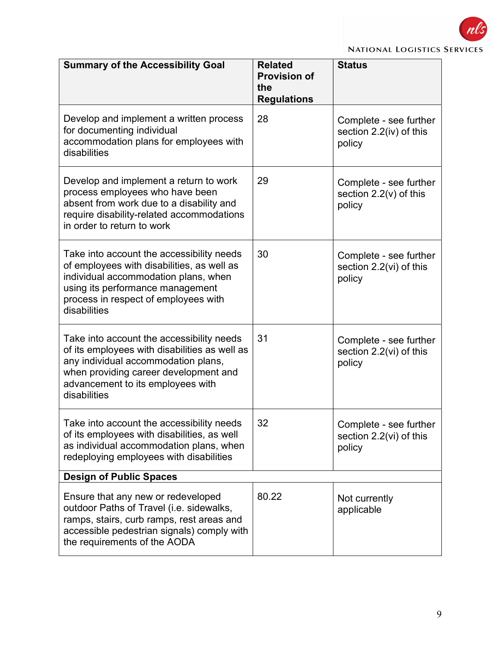

|  | <b>NATIONAL LOGISTICS SERVICES</b> |  |
|--|------------------------------------|--|
|--|------------------------------------|--|

| <b>Summary of the Accessibility Goal</b>                                                                                                                                                                                        | <b>Related</b><br><b>Provision of</b><br>the<br><b>Regulations</b> | <b>Status</b>                                                |  |
|---------------------------------------------------------------------------------------------------------------------------------------------------------------------------------------------------------------------------------|--------------------------------------------------------------------|--------------------------------------------------------------|--|
| Develop and implement a written process<br>for documenting individual<br>accommodation plans for employees with<br>disabilities                                                                                                 | 28                                                                 | Complete - see further<br>section 2.2(iv) of this<br>policy  |  |
| Develop and implement a return to work<br>process employees who have been<br>absent from work due to a disability and<br>require disability-related accommodations<br>in order to return to work                                | 29                                                                 | Complete - see further<br>section $2.2(v)$ of this<br>policy |  |
| Take into account the accessibility needs<br>of employees with disabilities, as well as<br>individual accommodation plans, when<br>using its performance management<br>process in respect of employees with<br>disabilities     | 30                                                                 | Complete - see further<br>section 2.2(vi) of this<br>policy  |  |
| Take into account the accessibility needs<br>of its employees with disabilities as well as<br>any individual accommodation plans,<br>when providing career development and<br>advancement to its employees with<br>disabilities | 31                                                                 | Complete - see further<br>section 2.2(vi) of this<br>policy  |  |
| Take into account the accessibility needs<br>of its employees with disabilities, as well<br>as individual accommodation plans, when<br>redeploying employees with disabilities                                                  | 32                                                                 | Complete - see further<br>section 2.2(vi) of this<br>policy  |  |
| <b>Design of Public Spaces</b>                                                                                                                                                                                                  |                                                                    |                                                              |  |
| Ensure that any new or redeveloped<br>outdoor Paths of Travel (i.e. sidewalks,<br>ramps, stairs, curb ramps, rest areas and<br>accessible pedestrian signals) comply with<br>the requirements of the AODA                       | 80.22                                                              | Not currently<br>applicable                                  |  |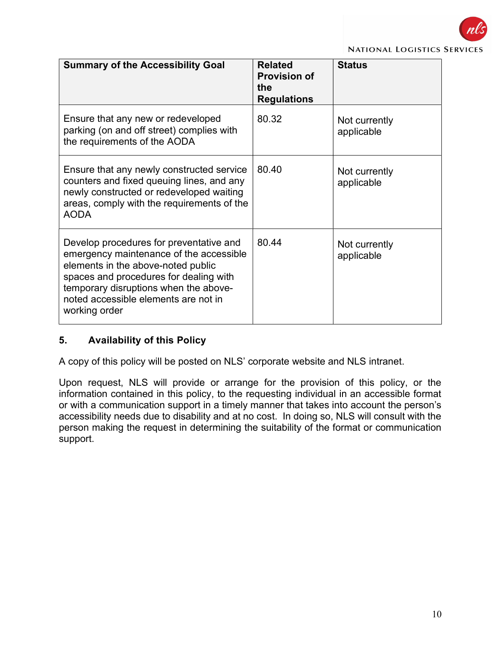

#### **NATIONAL LOGISTICS SERVICE:**

| <b>Summary of the Accessibility Goal</b>                                                                                                                                                                                                                             | <b>Related</b><br><b>Provision of</b><br>the<br><b>Regulations</b> | <b>Status</b>               |
|----------------------------------------------------------------------------------------------------------------------------------------------------------------------------------------------------------------------------------------------------------------------|--------------------------------------------------------------------|-----------------------------|
| Ensure that any new or redeveloped<br>parking (on and off street) complies with<br>the requirements of the AODA                                                                                                                                                      | 80.32                                                              | Not currently<br>applicable |
| Ensure that any newly constructed service<br>counters and fixed queuing lines, and any<br>newly constructed or redeveloped waiting<br>areas, comply with the requirements of the<br><b>AODA</b>                                                                      | 80.40                                                              | Not currently<br>applicable |
| Develop procedures for preventative and<br>emergency maintenance of the accessible<br>elements in the above-noted public<br>spaces and procedures for dealing with<br>temporary disruptions when the above-<br>noted accessible elements are not in<br>working order | 80.44                                                              | Not currently<br>applicable |

#### 5. Availability of this Policy

A copy of this policy will be posted on NLS' corporate website and NLS intranet.

Upon request, NLS will provide or arrange for the provision of this policy, or the information contained in this policy, to the requesting individual in an accessible format or with a communication support in a timely manner that takes into account the person's accessibility needs due to disability and at no cost. In doing so, NLS will consult with the person making the request in determining the suitability of the format or communication support.